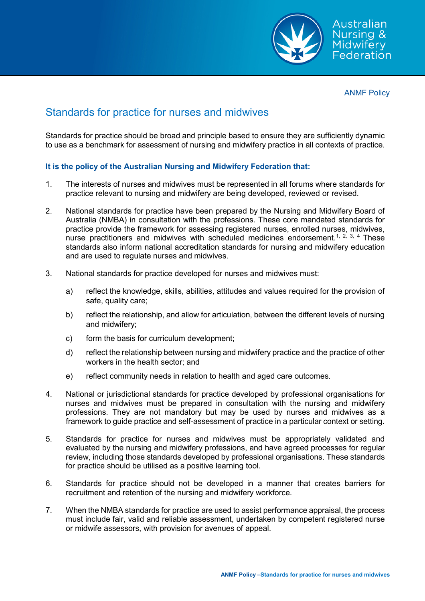

ANMF Policy

## Standards for practice for nurses and midwives

Standards for practice should be broad and principle based to ensure they are sufficiently dynamic to use as a benchmark for assessment of nursing and midwifery practice in all contexts of practice.

## **It is the policy of the Australian Nursing and Midwifery Federation that:**

- 1. The interests of nurses and midwives must be represented in all forums where standards for practice relevant to nursing and midwifery are being developed, reviewed or revised.
- 2. National standards for practice have been prepared by the Nursing and Midwifery Board of Australia (NMBA) in consultation with the professions. These core mandated standards for practice provide the framework for assessing registered nurses, enrolled nurses, midwives, nurse practitioners and midwives with scheduled medicines endorsement.<sup>1, 2, 3, 4</sup> These standards also inform national accreditation standards for nursing and midwifery education and are used to regulate nurses and midwives.
- 3. National standards for practice developed for nurses and midwives must:
	- a) reflect the knowledge, skills, abilities, attitudes and values required for the provision of safe, quality care;
	- b) reflect the relationship, and allow for articulation, between the different levels of nursing and midwifery;
	- c) form the basis for curriculum development;
	- d) reflect the relationship between nursing and midwifery practice and the practice of other workers in the health sector; and
	- e) reflect community needs in relation to health and aged care outcomes.
- 4. National or jurisdictional standards for practice developed by professional organisations for nurses and midwives must be prepared in consultation with the nursing and midwifery professions. They are not mandatory but may be used by nurses and midwives as a framework to guide practice and self-assessment of practice in a particular context or setting.
- 5. Standards for practice for nurses and midwives must be appropriately validated and evaluated by the nursing and midwifery professions, and have agreed processes for regular review, including those standards developed by professional organisations. These standards for practice should be utilised as a positive learning tool.
- 6. Standards for practice should not be developed in a manner that creates barriers for recruitment and retention of the nursing and midwifery workforce.
- 7. When the NMBA standards for practice are used to assist performance appraisal, the process must include fair, valid and reliable assessment, undertaken by competent registered nurse or midwife assessors, with provision for avenues of appeal.